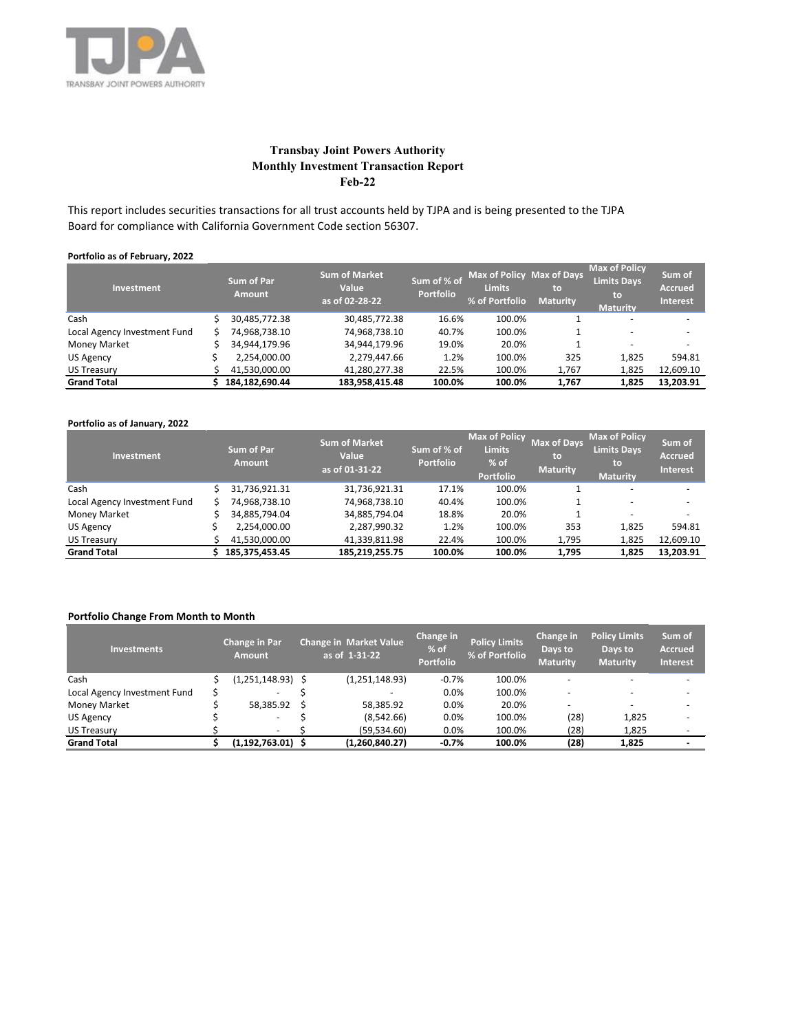

# **Transbay Joint Powers Authority Monthly Investment Transaction Report Feb-22**

This report includes securities transactions for all trust accounts held by TJPA and is being presented to the TJPA Board for compliance with California Government Code section 56307.

### **Portfolio as of February, 2022**

| Investment                   | <b>Sum of Par</b><br><b>Amount</b> |                | <b>Sum of Market</b><br><b>Value</b><br>as of 02-28-22 | Sum of % of<br><b>Portfolio</b> | Max of Policy Max of Days<br><b>Limits</b><br>% of Portfolio | to<br><b>Maturity</b> | <b>Max of Policy</b><br><b>Limits Days</b><br>to<br><b>Maturity</b> | Sum of<br><b>Accrued</b><br><b>Interest</b> |  |
|------------------------------|------------------------------------|----------------|--------------------------------------------------------|---------------------------------|--------------------------------------------------------------|-----------------------|---------------------------------------------------------------------|---------------------------------------------|--|
| Cash                         |                                    | 30,485,772.38  | 30,485,772.38                                          | 16.6%                           | 100.0%                                                       |                       | -                                                                   |                                             |  |
| Local Agency Investment Fund |                                    | 74,968,738.10  | 74,968,738.10                                          | 40.7%                           | 100.0%                                                       |                       | -                                                                   |                                             |  |
| <b>Money Market</b>          |                                    | 34,944,179.96  | 34,944,179.96                                          | 19.0%                           | 20.0%                                                        |                       | $\overline{\phantom{0}}$                                            | $\overline{\phantom{0}}$                    |  |
| US Agency                    |                                    | 2,254,000.00   | 2,279,447.66                                           | 1.2%                            | 100.0%                                                       | 325                   | 1,825                                                               | 594.81                                      |  |
| <b>US Treasury</b>           |                                    | 41,530,000.00  | 41,280,277.38                                          | 22.5%                           | 100.0%                                                       | 1,767                 | 1,825                                                               | 12,609.10                                   |  |
| <b>Grand Total</b>           |                                    | 184.182.690.44 | 183.958.415.48                                         | 100.0%                          | 100.0%                                                       | 1,767                 | 1,825                                                               | 13,203.91                                   |  |

### **Portfolio as of January, 2022**

| <b>Investment</b>            | <b>Sum of Par</b><br><b>Amount</b> | <b>Sum of Market</b><br><b>Value</b><br>as of 01-31-22 | Sum of % of<br><b>Portfolio</b> | <b>Max of Policy</b><br><b>Limits</b><br>$%$ of<br><b>Portfolio</b> | <b>Max of Days</b><br>to<br><b>Maturity</b> | <b>Max of Policy</b><br>Limits Days<br>to<br><b>Maturity</b> | Sum of<br><b>Accrued</b><br><b>Interest</b> |  |
|------------------------------|------------------------------------|--------------------------------------------------------|---------------------------------|---------------------------------------------------------------------|---------------------------------------------|--------------------------------------------------------------|---------------------------------------------|--|
| Cash                         | 31,736,921.31                      | 31,736,921.31                                          | 17.1%                           | 100.0%                                                              |                                             |                                                              |                                             |  |
| Local Agency Investment Fund | 74,968,738.10                      | 74,968,738.10                                          | 40.4%                           | 100.0%                                                              |                                             | $\overline{\phantom{0}}$                                     | -                                           |  |
| <b>Money Market</b>          | 34,885,794.04                      | 34,885,794.04                                          | 18.8%                           | 20.0%                                                               |                                             | $\overline{\phantom{0}}$                                     | $\overline{\phantom{a}}$                    |  |
| US Agency                    | 2,254,000.00                       | 2,287,990.32                                           | 1.2%                            | 100.0%                                                              | 353                                         | 1,825                                                        | 594.81                                      |  |
| <b>US Treasury</b>           | 41,530,000.00                      | 41,339,811.98                                          | 22.4%                           | 100.0%                                                              | 1,795                                       | 1,825                                                        | 12,609.10                                   |  |
| <b>Grand Total</b>           | 185, 375, 453. 45                  | 185.219.255.75                                         | 100.0%                          | 100.0%                                                              | 1,795                                       | 1,825                                                        | 13,203.91                                   |  |

## **Portfolio Change From Month to Month**

| <b>Investments</b>           | <b>Change in Par</b><br><b>Amount</b> |     | <b>Change in Market Value</b><br>as of 1-31-22 | Change in<br>% of<br><b>Portfolio</b> | <b>Policy Limits</b><br>% of Portfolio | <b>Change in</b><br>Days to<br><b>Maturity</b> | <b>Policy Limits</b><br>Days to<br><b>Maturity</b> | Sum of<br><b>Accrued</b><br><b>Interest</b> |
|------------------------------|---------------------------------------|-----|------------------------------------------------|---------------------------------------|----------------------------------------|------------------------------------------------|----------------------------------------------------|---------------------------------------------|
| Cash                         | (1,251,148.93) \$                     |     | (1,251,148.93)                                 | $-0.7%$                               | 100.0%                                 |                                                |                                                    |                                             |
| Local Agency Investment Fund | $\overline{\phantom{0}}$              |     |                                                | 0.0%                                  | 100.0%                                 |                                                |                                                    |                                             |
| <b>Money Market</b>          | 58.385.92                             | - S | 58.385.92                                      | 0.0%                                  | 20.0%                                  |                                                |                                                    |                                             |
| <b>US Agency</b>             | $\overline{\phantom{a}}$              |     | (8,542.66)                                     | 0.0%                                  | 100.0%                                 | (28)                                           | 1,825                                              |                                             |
| <b>US Treasury</b>           | $\overline{\phantom{0}}$              |     | (59, 534.60)                                   | 0.0%                                  | 100.0%                                 | (28)                                           | 1,825                                              |                                             |
| <b>Grand Total</b>           | $(1,192,763.01)$ \$                   |     | (1,260,840.27)                                 | $-0.7%$                               | 100.0%                                 | (28)                                           | 1,825                                              | -                                           |